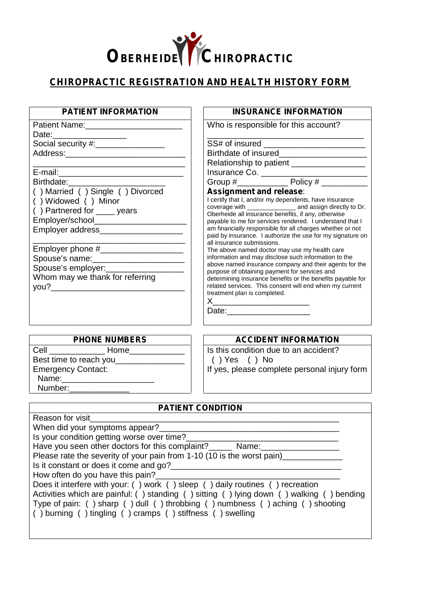

## **CHIROPRACTIC REGISTRATION AND HEALTH HISTORY FORM**

| <b>PATIENT INFORMATION</b>                                                                                                                                                                         | <b>INSURANCE INFORMATION</b>                                                                                                                                                                                                                                                                                                                                                                                                 |
|----------------------------------------------------------------------------------------------------------------------------------------------------------------------------------------------------|------------------------------------------------------------------------------------------------------------------------------------------------------------------------------------------------------------------------------------------------------------------------------------------------------------------------------------------------------------------------------------------------------------------------------|
| Date: ______________________                                                                                                                                                                       | Who is responsible for this account?                                                                                                                                                                                                                                                                                                                                                                                         |
| Social security #:_________________                                                                                                                                                                |                                                                                                                                                                                                                                                                                                                                                                                                                              |
|                                                                                                                                                                                                    | Relationship to patient ___________________                                                                                                                                                                                                                                                                                                                                                                                  |
|                                                                                                                                                                                                    |                                                                                                                                                                                                                                                                                                                                                                                                                              |
| Birthdate: Management of the Birthdate:                                                                                                                                                            |                                                                                                                                                                                                                                                                                                                                                                                                                              |
| () Married () Single () Divorced<br>() Widowed () Minor<br>$( )$ Partnered for $\rule{1em}{0.15mm}$ years<br>Employer/school__________________________<br>Employer address________________________ | Assignment and release:<br>I certify that I, and/or my dependents, have insurance<br>coverage with __________________ and assign directly to Dr.<br>Oberheide all insurance benefits, if any, otherwise<br>payable to me for services rendered. I understand that I<br>am financially responsible for all charges whether or not<br>paid by insurance. I authorize the use for my signature on<br>all insurance submissions. |
| Employer phone #___________________<br>Spouse's name: ______________________<br>Whom may we thank for referring                                                                                    | The above named doctor may use my health care<br>information and may disclose such information to the<br>above named insurance company and their agents for the<br>purpose of obtaining payment for services and<br>determining insurance benefits or the benefits payable for<br>related services. This consent will end when my current<br>treatment plan is completed.                                                    |
| <b>PHONE NUMBERS</b>                                                                                                                                                                               | <b>ACCIDENT INFORMATION</b>                                                                                                                                                                                                                                                                                                                                                                                                  |

Cell \_\_\_\_\_\_\_\_\_\_\_\_ Home\_\_\_\_\_\_\_\_\_\_\_\_ Best time to reach you\_\_\_\_\_\_\_\_\_ Emergency Contact: Name: Number:

Is this condition due to an accident? ( ) Yes ( ) No If yes, please complete personal injury form

| <b>PATIENT CONDITION</b>                                                                 |
|------------------------------------------------------------------------------------------|
| Reason for visit                                                                         |
| When did your symptoms appear?                                                           |
| Is your condition getting worse over time?                                               |
| Have you seen other doctors for this complaint?________ Name:______                      |
| Please rate the severity of your pain from 1-10 (10 is the worst pain)                   |
| Is it constant or does it come and go?                                                   |
| How often do you have this pain?                                                         |
| Does it interfere with your: () work () sleep () daily routines () recreation            |
| Activities which are painful: () standing () sitting () lying down () walking () bending |
| Type of pain: () sharp () dull () throbbing () numbness () aching () shooting            |
| () burning () tingling () cramps () stiffness () swelling                                |
|                                                                                          |
|                                                                                          |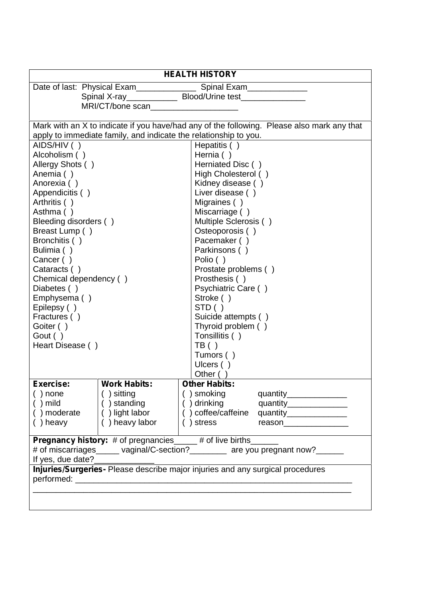| <b>HEALTH HISTORY</b>                                                                               |                                         |                                                                                                                                                                |
|-----------------------------------------------------------------------------------------------------|-----------------------------------------|----------------------------------------------------------------------------------------------------------------------------------------------------------------|
|                                                                                                     | Date of last: Physical Exam____________ | Spinal Exam_____________                                                                                                                                       |
|                                                                                                     |                                         |                                                                                                                                                                |
|                                                                                                     | MRI/CT/bone scan                        |                                                                                                                                                                |
|                                                                                                     |                                         |                                                                                                                                                                |
|                                                                                                     |                                         | Mark with an X to indicate if you have/had any of the following. Please also mark any that<br>apply to immediate family, and indicate the relationship to you. |
| AIDS/HIV ()                                                                                         |                                         | Hepatitis ()                                                                                                                                                   |
| Alcoholism ()                                                                                       |                                         | Hernia ()                                                                                                                                                      |
| Allergy Shots ()                                                                                    |                                         | Herniated Disc ()                                                                                                                                              |
| Anemia ()                                                                                           |                                         | High Cholesterol ()                                                                                                                                            |
| Anorexia ()                                                                                         |                                         | Kidney disease ()                                                                                                                                              |
| Appendicitis ()                                                                                     |                                         | Liver disease ()                                                                                                                                               |
| Arthritis ()                                                                                        |                                         | Migraines ()                                                                                                                                                   |
| Asthma ()                                                                                           |                                         | Miscarriage ()                                                                                                                                                 |
| Bleeding disorders ()                                                                               |                                         | Multiple Sclerosis ()                                                                                                                                          |
| Breast Lump ()                                                                                      |                                         | Osteoporosis ()                                                                                                                                                |
| Bronchitis ()                                                                                       |                                         | Pacemaker ()                                                                                                                                                   |
| Bulimia ()                                                                                          |                                         | Parkinsons ()                                                                                                                                                  |
| Cancer ()                                                                                           |                                         | Polio ()                                                                                                                                                       |
| Cataracts ()                                                                                        |                                         | Prostate problems ()                                                                                                                                           |
| Chemical dependency ()                                                                              |                                         | Prosthesis ()                                                                                                                                                  |
| Diabetes ()                                                                                         |                                         | Psychiatric Care ()                                                                                                                                            |
| Emphysema ()                                                                                        |                                         | Stroke ()<br>STD()                                                                                                                                             |
| Epilepsy ()<br>Fractures ()                                                                         |                                         | Suicide attempts ()                                                                                                                                            |
| Goiter ()                                                                                           |                                         | Thyroid problem ()                                                                                                                                             |
| Gout ()                                                                                             |                                         | Tonsillitis ()                                                                                                                                                 |
| Heart Disease ()                                                                                    |                                         | TB( )                                                                                                                                                          |
|                                                                                                     |                                         | Tumors ()                                                                                                                                                      |
|                                                                                                     |                                         | Ulcers ()                                                                                                                                                      |
|                                                                                                     |                                         | Other (                                                                                                                                                        |
| Exercise:                                                                                           | <b>Work Habits:</b>                     | <b>Other Habits:</b>                                                                                                                                           |
| $( )$ none                                                                                          | $( )$ sitting                           | ( ) smoking<br>quantity________________                                                                                                                        |
| ()mild                                                                                              | () standing                             | () drinking<br>quantity________________                                                                                                                        |
| ) moderate                                                                                          | () light labor                          | () coffee/caffeine<br>quantity________________                                                                                                                 |
| $( )$ heavy                                                                                         | () heavy labor                          | ) stress<br>reason_________________                                                                                                                            |
|                                                                                                     |                                         |                                                                                                                                                                |
|                                                                                                     |                                         | <b>Pregnancy history:</b> # of pregnancies_____ # of live births______                                                                                         |
|                                                                                                     |                                         | # of miscarriages______ vaginal/C-section?________ are you pregnant now?______                                                                                 |
| If yes, due date?<br>Injuries/Surgeries- Please describe major injuries and any surgical procedures |                                         |                                                                                                                                                                |
|                                                                                                     |                                         |                                                                                                                                                                |
|                                                                                                     |                                         |                                                                                                                                                                |
|                                                                                                     |                                         |                                                                                                                                                                |
|                                                                                                     |                                         |                                                                                                                                                                |